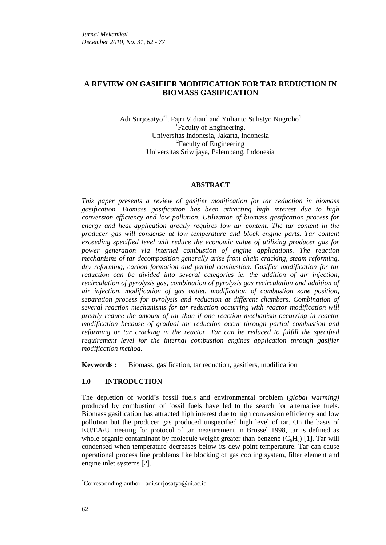# **A REVIEW ON GASIFIER MODIFICATION FOR TAR REDUCTION IN BIOMASS GASIFICATION**

Adi Surjosatyo<sup>\*1</sup>, Fajri Vidian<sup>2</sup> and Yulianto Sulistyo Nugroho<sup>1</sup> <sup>1</sup>Faculty of Engineering, Universitas Indonesia, Jakarta, Indonesia <sup>2</sup>Faculty of Engineering Universitas Sriwijaya, Palembang, Indonesia

#### **ABSTRACT**

*This paper presents a review of gasifier modification for tar reduction in biomass gasification. Biomass gasification has been attracting high interest due to high conversion efficiency and low pollution. Utilization of biomass gasification process for energy and heat application greatly requires low tar content. The tar content in the producer gas will condense at low temperature and block engine parts. Tar content exceeding specified level will reduce the economic value of utilizing producer gas for power generation via internal combustion of engine applications. The reaction mechanisms of tar decomposition generally arise from chain cracking, steam reforming, dry reforming, carbon formation and partial combustion. Gasifier modification for tar reduction can be divided into several categories ie. the addition of air injection, recirculation of pyrolysis gas, combination of pyrolysis gas recirculation and addition of air injection, modification of gas outlet, modification of combustion zone position, separation process for pyrolysis and reduction at different chambers. Combination of several reaction mechanisms for tar reduction occurring with reactor modification will greatly reduce the amount of tar than if one reaction mechanism occurring in reactor modification because of gradual tar reduction occur through partial combustion and reforming or tar cracking in the reactor. Tar can be reduced to fulfill the specified requirement level for the internal combustion engines application through gasifier modification method.*

**Keywords :** Biomass, gasification, tar reduction, gasifiers, modification

### **1.0 INTRODUCTION**

The depletion of world's fossil fuels and environmental problem (*global warming)* produced by combustion of fossil fuels have led to the search for alternative fuels. Biomass gasification has attracted high interest due to high conversion efficiency and low pollution but the producer gas produced unspecified high level of tar. On the basis of EU/EA/U meeting for protocol of tar measurement in Brussel 1998, tar is defined as whole organic contaminant by molecule weight greater than benzene  $(C_6H_6)$  [1]. Tar will condensed when temperature decreases below its dew point temperature. Tar can cause operational process line problems like blocking of gas cooling system, filter element and engine inlet systems [2].

 $\overline{a}$ 

<sup>\*</sup>Corresponding author : adi.surjosatyo@ui.ac.id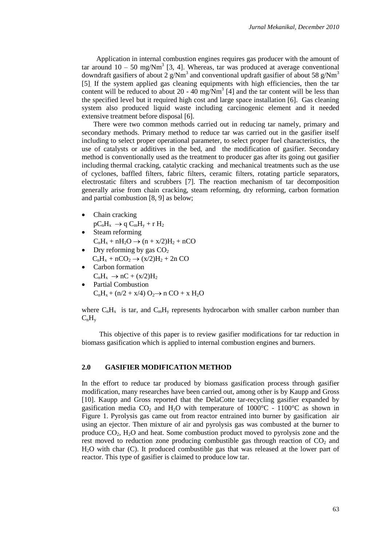Application in internal combustion engines requires gas producer with the amount of tar around  $10 - 50$  mg/Nm<sup>3</sup> [3, 4]. Whereas, tar was produced at average conventional downdraft gasifiers of about 2 g/Nm<sup>3</sup> and conventional updraft gasifier of about 58 g/Nm<sup>3</sup> [5]. If the system applied gas cleaning equipments with high efficiencies, then the tar content will be reduced to about  $20 - 40$  mg/Nm<sup>3</sup> [4] and the tar content will be less than the specified level but it required high cost and large space installation [6]. Gas cleaning system also produced liquid waste including carcinogenic element and it needed extensive treatment before disposal [6].

There were two common methods carried out in reducing tar namely, primary and secondary methods. Primary method to reduce tar was carried out in the gasifier itself including to select proper operational parameter, to select proper fuel characteristics, the use of catalysts or additives in the bed, and the modification of gasifier. Secondary method is conventionally used as the treatment to producer gas after its going out gasifier including thermal cracking, catalytic cracking and mechanical treatments such as the use of cyclones, baffled filters, fabric filters, ceramic filters, rotating particle separators, electrostatic filters and scrubbers [7]. The reaction mechanism of tar decomposition generally arise from chain cracking, steam reforming, dry reforming, carbon formation and partial combustion [8, 9] as below;

Chain cracking

 $pC_nH_x \rightarrow qC_mH_y + rH_2$ 

- Steam reforming  $C_nH_x + nH_2O \rightarrow (n + x/2)H_2 + nCO$
- Dry reforming by gas  $CO<sub>2</sub>$  $C_nH_x + nCO_2 \rightarrow (x/2)H_2 + 2n CO$
- Carbon formation  $C_nH_x \rightarrow nC + (x/2)H_2$
- Partial Combustion  $C_nH_x + (n/2 + x/4) O_2 \rightarrow n CO + x H_2O$

where  $C_nH_x$  is tar, and  $C_mH_y$  represents hydrocarbon with smaller carbon number than  $C_nH_v$ 

This objective of this paper is to review gasifier modifications for tar reduction in biomass gasification which is applied to internal combustion engines and burners.

## **2.0 GASIFIER MODIFICATION METHOD**

In the effort to reduce tar produced by biomass gasification process through gasifier modification, many researches have been carried out, among other is by Kaupp and Gross [10]. Kaupp and Gross reported that the DelaCotte tar-recycling gasifier expanded by gasification media  $CO_2$  and  $H_2O$  with temperature of 1000°C - 1100°C as shown in Figure 1. Pyrolysis gas came out from reactor entrained into burner by gasification air using an ejector. Then mixture of air and pyrolysis gas was combusted at the burner to produce  $CO<sub>2</sub>$ ,  $H<sub>2</sub>O$  and heat. Some combustion product moved to pyrolysis zone and the rest moved to reduction zone producing combustible gas through reaction of  $CO<sub>2</sub>$  and H2O with char (C). It produced combustible gas that was released at the lower part of reactor. This type of gasifier is claimed to produce low tar.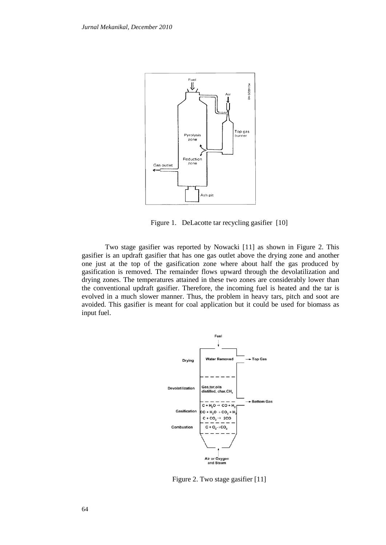

Figure 1. DeLacotte tar recycling gasifier [10]

Two stage gasifier was reported by Nowacki [11] as shown in Figure 2. This gasifier is an updraft gasifier that has one gas outlet above the drying zone and another one just at the top of the gasification zone where about half the gas produced by gasification is removed. The remainder flows upward through the devolatilization and drying zones. The temperatures attained in these two zones are considerably lower than the conventional updraft gasifier. Therefore, the incoming fuel is heated and the tar is evolved in a much slower manner. Thus, the problem in heavy tars, pitch and soot are avoided. This gasifier is meant for coal application but it could be used for biomass as input fuel.



Figure 2. Two stage gasifier [11]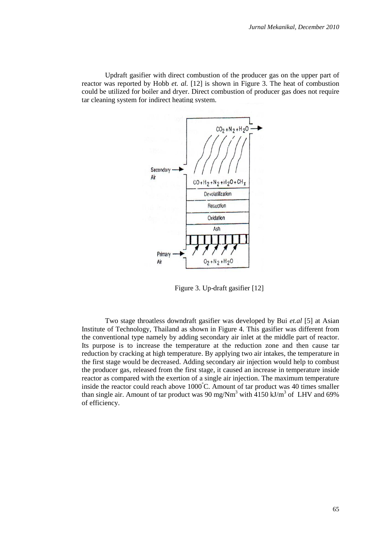Updraft gasifier with direct combustion of the producer gas on the upper part of reactor was reported by Hobb *et. al.* [12] is shown in Figure 3. The heat of combustion could be utilized for boiler and dryer. Direct combustion of producer gas does not require tar cleaning system for indirect heating system.



Figure 3. Up-draft gasifier [12]

Two stage throatless downdraft gasifier was developed by Bui *et.al* [5] at Asian Institute of Technology, Thailand as shown in Figure 4. This gasifier was different from the conventional type namely by adding secondary air inlet at the middle part of reactor. Its purpose is to increase the temperature at the reduction zone and then cause tar reduction by cracking at high temperature. By applying two air intakes, the temperature in the first stage would be decreased. Adding secondary air injection would help to combust the producer gas, released from the first stage, it caused an increase in temperature inside reactor as compared with the exertion of a single air injection. The maximum temperature inside the reactor could reach above 1000°C. Amount of tar product was 40 times smaller than single air. Amount of tar product was 90 mg/Nm<sup>3</sup> with  $\overline{4150}$  kJ/m<sup>3</sup> of LHV and 69% of efficiency.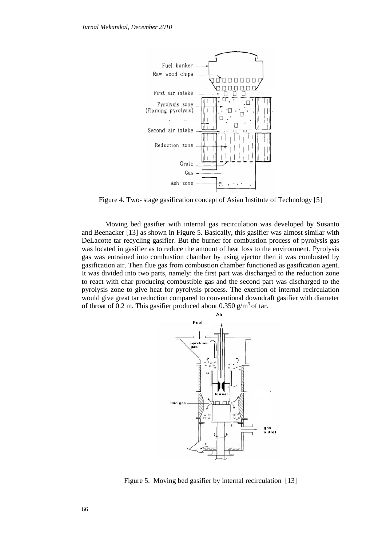

Figure 4. Two- stage gasification concept of Asian Institute of Technology [5]

Moving bed gasifier with internal gas recirculation was developed by Susanto and Beenacker [13] as shown in Figure 5. Basically, this gasifier was almost similar with DeLacotte tar recycling gasifier. But the burner for combustion process of pyrolysis gas was located in gasifier as to reduce the amount of heat loss to the environment. Pyrolysis gas was entrained into combustion chamber by using ejector then it was combusted by gasification air. Then flue gas from combustion chamber functioned as gasification agent. It was divided into two parts, namely: the first part was discharged to the reduction zone to react with char producing combustible gas and the second part was discharged to the pyrolysis zone to give heat for pyrolysis process. The exertion of internal recirculation would give great tar reduction compared to conventional downdraft gasifier with diameter of throat of 0.2 m. This gasifier produced about 0.350  $\text{g/m}^3$  of tar.



Figure 5. Moving bed gasifier by internal recirculation [13]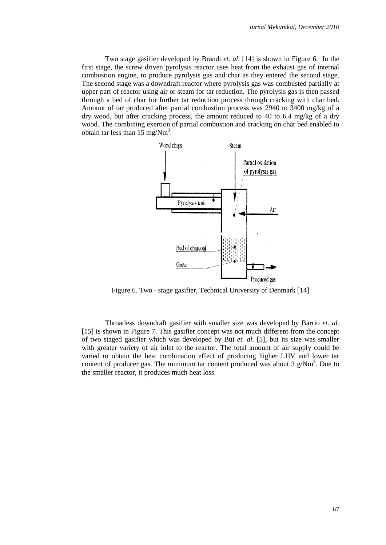Two stage gasifier developed by Brandt *et. al*. [14] is shown in Figure 6. In the first stage, the screw driven pyrolysis reactor uses heat from the exhaust gas of internal combustion engine, to produce pyrolysis gas and char as they entered the second stage. The second stage was a downdraft reactor where pyrolysis gas was combusted partially at upper part of reactor using air or steam for tar reduction. The pyrolysis gas is then passed through a bed of char for further tar reduction process through cracking with char bed. Amount of tar produced after partial combustion process was 2940 to 3400 mg/kg of a dry wood, but after cracking process, the amount reduced to 40 to 6.4 mg/kg of a dry wood. The combining exertion of partial combustion and cracking on char bed enabled to obtain tar less than  $15 \text{ mg}/\text{Nm}^3$ .



Figure 6. Two - stage gasifier*,* Technical University of Denmark [14]

Throatless downdraft gasifier with smaller size was developed by Barrio *et. al.* [15] is shown in Figure 7. This gasifier concept was not much different from the concept of two staged gasifier which was developed by Bui *et. al.* [5], but its size was smaller with greater variety of air inlet to the reactor. The total amount of air supply could be varied to obtain the best combination effect of producing higher LHV and lower tar content of producer gas. The minimum tar content produced was about  $3 \text{ g}/\text{Nm}^3$ . Due to the smaller reactor, it produces much heat loss.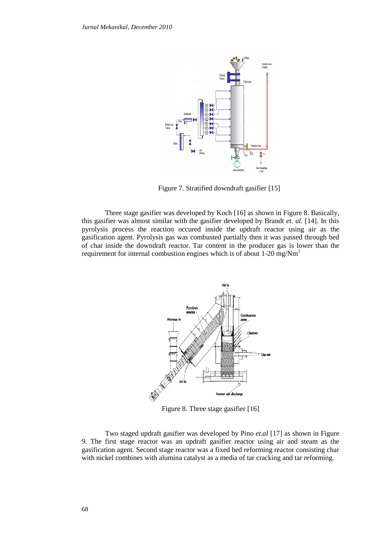

Figure 7. Stratified downdraft gasifier [15]

Three stage gasifier was developed by Koch [16] as shown in Figure 8. Basically, this gasifier was almost similar with the gasifier developed by Brandt *et. al.* [14]. In this pyrolysis process the reaction occured inside the updraft reactor using air as the gasification agent. Pyrolysis gas was combusted partially then it was passed through bed of char inside the downdraft reactor. Tar content in the producer gas is lower than the requirement for internal combustion engines which is of about  $1-20$  mg/Nm<sup>3</sup>



Figure 8. Three stage gasifier [16]

Two staged updraft gasifier was developed by Pino *et.al* [17] as shown in Figure 9. The first stage reactor was an updraft gasifier reactor using air and steam as the gasification agent. Second stage reactor was a fixed bed reforming reactor consisting char with nickel combines with alumina catalyst as a media of tar cracking and tar reforming.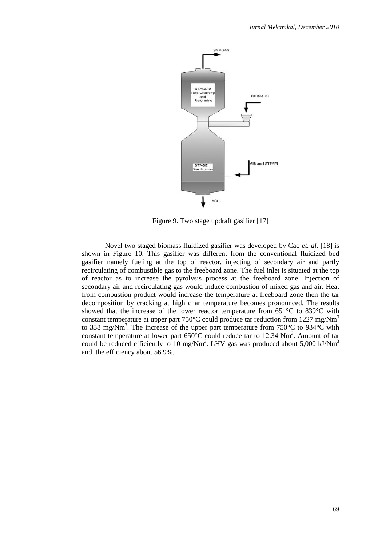

Figure 9. Two stage updraft gasifier [17]

Novel two staged biomass fluidized gasifier was developed by Cao *et. al*. [18] is shown in Figure 10. This gasifier was different from the conventional fluidized bed gasifier namely fueling at the top of reactor, injecting of secondary air and partly recirculating of combustible gas to the freeboard zone. The fuel inlet is situated at the top of reactor as to increase the pyrolysis process at the freeboard zone. Injection of secondary air and recirculating gas would induce combustion of mixed gas and air. Heat from combustion product would increase the temperature at freeboard zone then the tar decomposition by cracking at high char temperature becomes pronounced. The results showed that the increase of the lower reactor temperature from 651°C to 839°C with constant temperature at upper part  $750^{\circ}$ C could produce tar reduction from 1227 mg/Nm<sup>3</sup> to 338 mg/Nm<sup>3</sup>. The increase of the upper part temperature from 750 $^{\circ}$ C to 934 $^{\circ}$ C with constant temperature at lower part  $650^{\circ}$ C could reduce tar to 12.34 Nm<sup>3</sup>. Amount of tar could be reduced efficiently to 10 mg/Nm<sup>3</sup>. LHV gas was produced about 5,000 kJ/Nm<sup>3</sup> and the efficiency about 56.9%.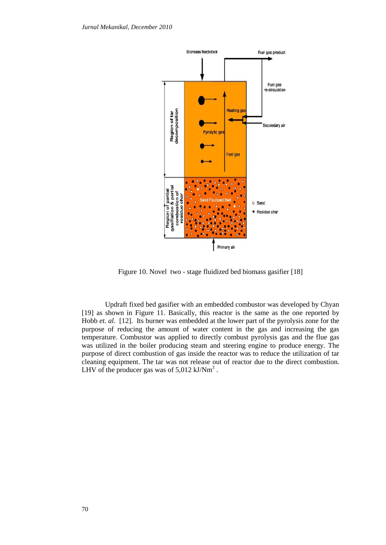

Figure 10. Novel two - stage fluidized bed biomass gasifier [18]

Updraft fixed bed gasifier with an embedded combustor was developed by Chyan [19] as shown in Figure 11. Basically, this reactor is the same as the one reported by Hobb *et. al.* [12]. Its burner was embedded at the lower part of the pyrolysis zone for the purpose of reducing the amount of water content in the gas and increasing the gas temperature. Combustor was applied to directly combust pyrolysis gas and the flue gas was utilized in the boiler producing steam and steering engine to produce energy. The purpose of direct combustion of gas inside the reactor was to reduce the utilization of tar cleaning equipment. The tar was not release out of reactor due to the direct combustion. LHV of the producer gas was of  $5,012$  kJ/Nm<sup>3</sup>.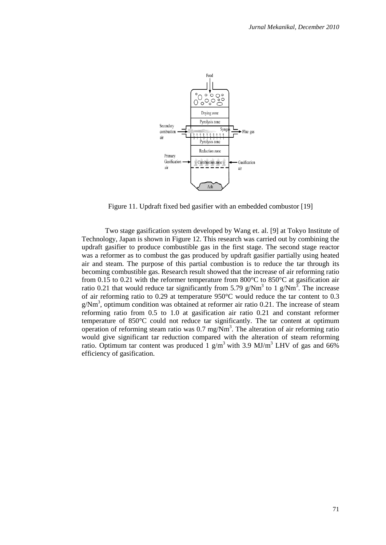

Figure 11. Updraft fixed bed gasifier with an embedded combustor [19]

Two stage gasification system developed by Wang et. al. [9] at Tokyo Institute of Technology, Japan is shown in Figure 12. This research was carried out by combining the updraft gasifier to produce combustible gas in the first stage. The second stage reactor was a reformer as to combust the gas produced by updraft gasifier partially using heated air and steam. The purpose of this partial combustion is to reduce the tar through its becoming combustible gas. Research result showed that the increase of air reforming ratio from 0.15 to 0.21 with the reformer temperature from 800°C to 850°C at gasification air ratio 0.21 that would reduce tar significantly from 5.79 g/Nm<sup>3</sup> to 1 g/Nm<sup>3</sup>. The increase of air reforming ratio to 0.29 at temperature 950°C would reduce the tar content to 0.3  $g/Nm<sup>3</sup>$ , optimum condition was obtained at reformer air ratio 0.21. The increase of steam reforming ratio from 0.5 to 1.0 at gasification air ratio 0.21 and constant reformer temperature of 850°C could not reduce tar significantly. The tar content at optimum operation of reforming steam ratio was  $0.7 \text{ mg/Nm}^3$ . The alteration of air reforming ratio would give significant tar reduction compared with the alteration of steam reforming ratio. Optimum tar content was produced 1  $g/m<sup>3</sup>$  with 3.9 MJ/m<sup>3</sup> LHV of gas and 66% efficiency of gasification.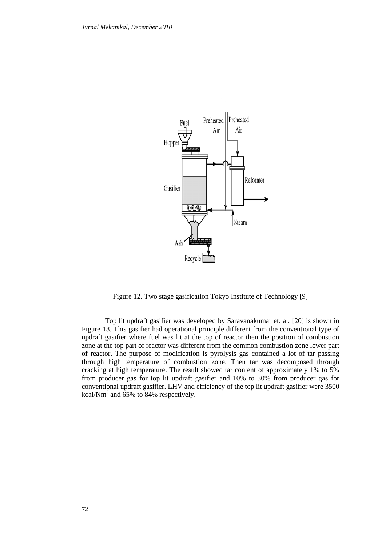

Figure 12. Two stage gasification Tokyo Institute of Technology [9]

Top lit updraft gasifier was developed by Saravanakumar et. al. [20] is shown in Figure 13. This gasifier had operational principle different from the conventional type of updraft gasifier where fuel was lit at the top of reactor then the position of combustion zone at the top part of reactor was different from the common combustion zone lower part of reactor. The purpose of modification is pyrolysis gas contained a lot of tar passing through high temperature of combustion zone. Then tar was decomposed through cracking at high temperature. The result showed tar content of approximately 1% to 5% from producer gas for top lit updraft gasifier and 10% to 30% from producer gas for conventional updraft gasifier. LHV and efficiency of the top lit updraft gasifier were 3500 kcal/ $Nm^3$  and 65% to 84% respectively.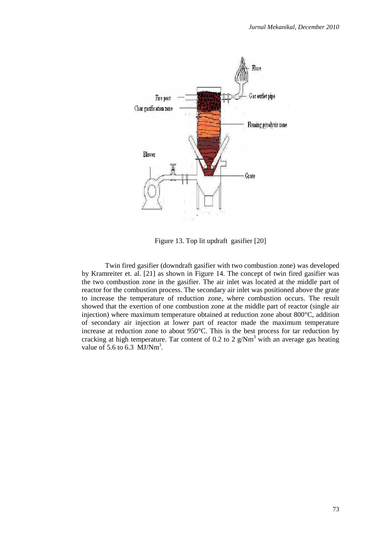

Figure 13. Top lit updraft gasifier [20]

Twin fired gasifier (downdraft gasifier with two combustion zone) was developed by Kramreiter et. al. [21] as shown in Figure 14. The concept of twin fired gasifier was the two combustion zone in the gasifier. The air inlet was located at the middle part of reactor for the combustion process. The secondary air inlet was positioned above the grate to increase the temperature of reduction zone, where combustion occurs. The result showed that the exertion of one combustion zone at the middle part of reactor (single air injection) where maximum temperature obtained at reduction zone about 800°C, addition of secondary air injection at lower part of reactor made the maximum temperature increase at reduction zone to about 950°C. This is the best process for tar reduction by cracking at high temperature. Tar content of 0.2 to 2  $g/Nm<sup>3</sup>$  with an average gas heating value of 5.6 to 6.3  $\text{MJ}/\text{Nm}^3$ .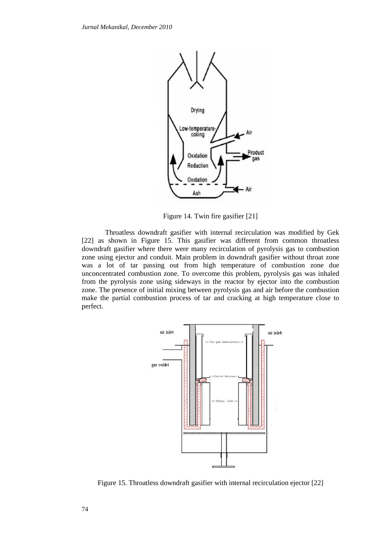

Figure 14. Twin fire gasifier [21]

Throatless downdraft gasifier with internal recirculation was modified by Gek [22] as shown in Figure 15. This gasifier was different from common throatless downdraft gasifier where there were many recirculation of pyrolysis gas to combustion zone using ejector and conduit. Main problem in downdraft gasifier without throat zone was a lot of tar passing out from high temperature of combustion zone due unconcentrated combustion zone. To overcome this problem, pyrolysis gas was inhaled from the pyrolysis zone using sideways in the reactor by ejector into the combustion zone. The presence of initial mixing between pyrolysis gas and air before the combustion make the partial combustion process of tar and cracking at high temperature close to perfect.



Figure 15*.* Throatless downdraft gasifier with internal recirculation ejector [22]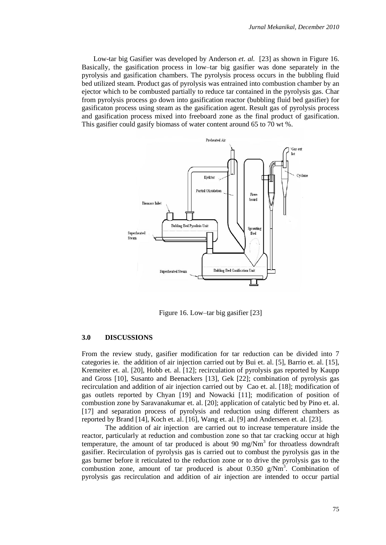Low-tar big Gasifier was developed by Anderson *et. al.* [23] as shown in Figure 16. Basically, the gasification process in low–tar big gasifier was done separately in the pyrolysis and gasification chambers. The pyrolysis process occurs in the bubbling fluid bed utilized steam. Product gas of pyrolysis was entrained into combustion chamber by an ejector which to be combusted partially to reduce tar contained in the pyrolysis gas. Char from pyrolysis process go down into gasification reactor (bubbling fluid bed gasifier) for gasificaton process using steam as the gasification agent. Result gas of pyrolysis process and gasification process mixed into freeboard zone as the final product of gasification. This gasifier could gasify biomass of water content around 65 to 70 wt %.



Figure 16. Low–tar big gasifier [23]

#### **3.0 DISCUSSIONS**

From the review study, gasifier modification for tar reduction can be divided into 7 categories ie. the addition of air injection carried out by Bui et. al. [5], Barrio et. al. [15], Kremeiter et. al. [20], Hobb et. al. [12]; recirculation of pyrolysis gas reported by Kaupp and Gross [10], Susanto and Beenackers [13], Gek [22]; combination of pyrolysis gas recirculation and addition of air injection carried out by Cao et. al. [18]; modification of gas outlets reported by Chyan [19] and Nowacki [11]; modification of position of combustion zone by Saravanakumar et. al. [20]; application of catalytic bed by Pino et. al. [17] and separation process of pyrolysis and reduction using different chambers as reported by Brand [14], Koch et. al. [16], Wang et. al. [9] and Anderseen et. al. [23].

The addition of air injection are carried out to increase temperature inside the reactor, particularly at reduction and combustion zone so that tar cracking occur at high temperature, the amount of tar produced is about 90 mg/ $Nm<sup>3</sup>$  for throatless downdraft gasifier. Recirculation of pyrolysis gas is carried out to combust the pyrolysis gas in the gas burner before it reticulated to the reduction zone or to drive the pyrolysis gas to the combustion zone, amount of tar produced is about  $0.350$  g/Nm<sup>3</sup>. Combination of pyrolysis gas recirculation and addition of air injection are intended to occur partial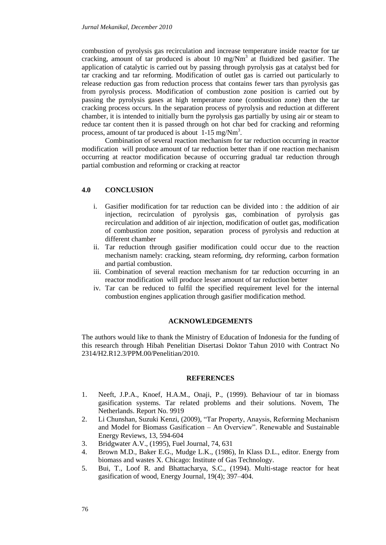combustion of pyrolysis gas recirculation and increase temperature inside reactor for tar cracking, amount of tar produced is about 10 mg/ $Nm<sup>3</sup>$  at fluidized bed gasifier. The application of catalytic is carried out by passing through pyrolysis gas at catalyst bed for tar cracking and tar reforming. Modification of outlet gas is carried out particularly to release reduction gas from reduction process that contains fewer tars than pyrolysis gas from pyrolysis process. Modification of combustion zone position is carried out by passing the pyrolysis gases at high temperature zone (combustion zone) then the tar cracking process occurs. In the separation process of pyrolysis and reduction at different chamber, it is intended to initially burn the pyrolysis gas partially by using air or steam to reduce tar content then it is passed through on hot char bed for cracking and reforming process, amount of tar produced is about  $1-15$  mg/Nm<sup>3</sup>.

Combination of several reaction mechanism for tar reduction occurring in reactor modification will produce amount of tar reduction better than if one reaction mechanism occurring at reactor modification because of occurring gradual tar reduction through partial combustion and reforming or cracking at reactor

### **4.0 CONCLUSION**

- i. Gasifier modification for tar reduction can be divided into : the addition of air injection, recirculation of pyrolysis gas, combination of pyrolysis gas recirculation and addition of air injection, modification of outlet gas, modification of combustion zone position, separation process of pyrolysis and reduction at different chamber
- ii. Tar reduction through gasifier modification could occur due to the reaction mechanism namely: cracking, steam reforming, dry reforming, carbon formation and partial combustion.
- iii. Combination of several reaction mechanism for tar reduction occurring in an reactor modification will produce lesser amount of tar reduction better
- iv. Tar can be reduced to fulfil the specified requirement level for the internal combustion engines application through gasifier modification method.

#### **ACKNOWLEDGEMENTS**

The authors would like to thank the Ministry of Education of Indonesia for the funding of this research through Hibah Penelitian Disertasi Doktor Tahun 2010 with Contract No 2314/H2.R12.3/PPM.00/Penelitian/2010.

#### **REFERENCES**

- 1. Neeft, J.P.A., Knoef, H.A.M., Onaji, P., (1999). Behaviour of tar in biomass gasification systems. Tar related problems and their solutions. Novem, The Netherlands. Report No. 9919
- 2. Li Chunshan, Suzuki Kenzi, (2009), "Tar Property, Anaysis, Reforming Mechanism and Model for Biomass Gasification – An Overview". Renewable and Sustainable Energy Reviews, 13, 594-604
- 3. Bridgwater A.V., (1995), Fuel Journal, 74, 631
- 4. Brown M.D., Baker E.G., Mudge L.K., (1986), In Klass D.L., editor. Energy from biomass and wastes X. Chicago: Institute of Gas Technology.
- 5. Bui, T., Loof R. and Bhattacharya, S.C., (1994). Multi-stage reactor for heat gasification of wood, Energy Journal, 19(4); 397–404.